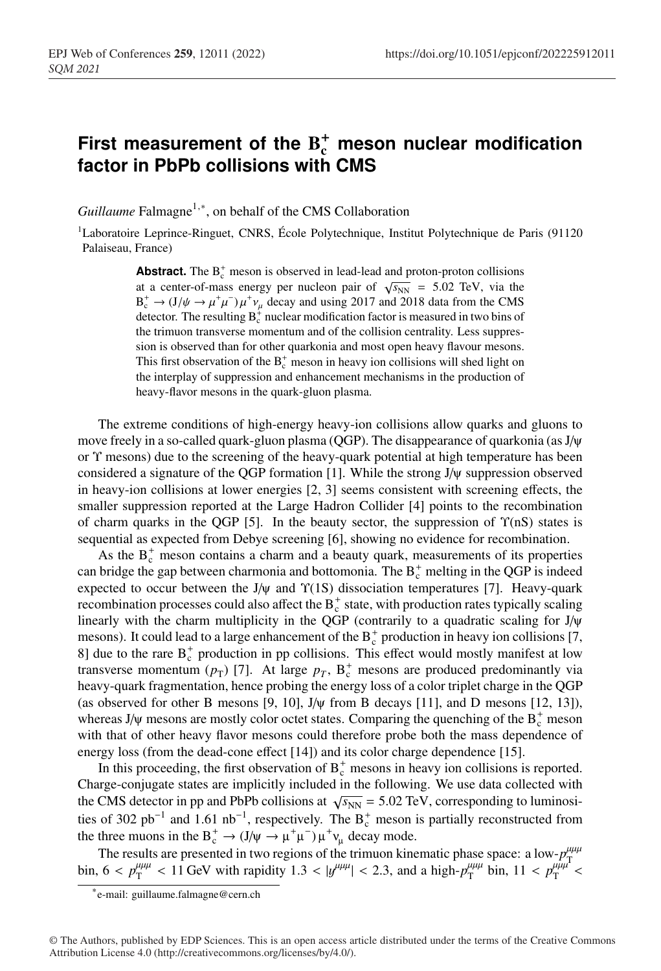## First measurement of the  $B_c^+$  meson nuclear modification **factor in PbPb collisions with CMS**

*Guillaume* Falmagne<sup>1,∗</sup>, on behalf of the CMS Collaboration

<sup>1</sup>Laboratoire Leprince-Ringuet, CNRS, École Polytechnique, Institut Polytechnique de Paris (91120 Palaiseau, France)

> **Abstract.** The  $B_c^+$  meson is observed in lead-lead and proton-proton collisions at a center-of-mass energy per nucleon pair of  $\sqrt{s_{NN}}$  = 5.02 TeV, via the  $B_c^+ \rightarrow (J/\psi \rightarrow \mu^+\mu^-)\mu^+\nu_\mu$  decay and using 2017 and 2018 data from the CMS detector. The resulting  $B_c^+$  nuclear modification factor is measured in two bins of the trimuon transverse momentum and of the collision centrality. Less suppression is observed than for other quarkonia and most open heavy flavour mesons. This first observation of the  $B_c^+$  meson in heavy ion collisions will shed light on the interplay of suppression and enhancement mechanisms in the production of heavy-flavor mesons in the quark-gluon plasma.

The extreme conditions of high-energy heavy-ion collisions allow quarks and gluons to move freely in a so-called quark-gluon plasma (QGP). The disappearance of quarkonia (as J/ψ or Υ mesons) due to the screening of the heavy-quark potential at high temperature has been considered a signature of the QGP formation [1]. While the strong J/ψ suppression observed in heavy-ion collisions at lower energies [2, 3] seems consistent with screening effects, the smaller suppression reported at the Large Hadron Collider [4] points to the recombination of charm quarks in the QGP [5]. In the beauty sector, the suppression of  $\Upsilon(nS)$  states is sequential as expected from Debye screening [6], showing no evidence for recombination.

As the  $B_c^+$  meson contains a charm and a beauty quark, measurements of its properties can bridge the gap between charmonia and bottomonia. The  $B_c^+$  melting in the QGP is indeed expected to occur between the J/ $\psi$  and  $\Upsilon(1S)$  dissociation temperatures [7]. Heavy-quark recombination processes could also affect the  $B_c^+$  state, with production rates typically scaling linearly with the charm multiplicity in the QGP (contrarily to a quadratic scaling for J/ψ mesons). It could lead to a large enhancement of the  $B_c^+$  production in heavy ion collisions [7, 8] due to the rare  $B_c^+$  production in pp collisions. This effect would mostly manifest at low transverse momentum  $(p_T)$  [7]. At large  $p_T$ ,  $B_c^+$  mesons are produced predominantly via heavy-quark fragmentation, hence probing the energy loss of a color triplet charge in the QGP (as observed for other B mesons [9, 10],  $J/\psi$  from B decays [11], and D mesons [12, 13]), whereas J/ $\psi$  mesons are mostly color octet states. Comparing the quenching of the  $B_c^+$  meson with that of other heavy flavor mesons could therefore probe both the mass dependence of energy loss (from the dead-cone effect [14]) and its color charge dependence [15].

In this proceeding, the first observation of  $B_c^+$  mesons in heavy ion collisions is reported. Charge-conjugate states are implicitly included in the following. We use data collected with the CMS detector in pp and PbPb collisions at  $\sqrt{s_{NN}} = 5.02 \text{ TeV}$ , corresponding to luminosities of 302 pb<sup>-1</sup> and 1.61 nb<sup>-1</sup>, respectively. The B<sub>c</sub><sup>+</sup> meson is partially reconstructed from the three muons in the B<sup>+</sup><sub>c</sub> →  $(J/\psi \rightarrow \mu^+\mu^-)\mu^+\nu_\mu$  decay mode.

The results are presented in two regions of the trimuon kinematic phase space: a low- $p_{\text{up}}^{\mu\mu\mu}$ bin,  $6 < p_T^{\mu\mu\mu} < 11$  GeV with rapidity  $1.3 < |y^{\mu\mu\mu}| < 2.3$ , and a high- $p_T^{\mu\mu\mu}$  bin,  $11 < p_T^{\mu\mu\mu} <$ 

<sup>∗</sup>e-mail: guillaume.falmagne@cern.ch

<sup>©</sup> The Authors, published by EDP Sciences. This is an open access article distributed under the terms of the Creative Commons Attribution License 4.0 (http://creativecommons.org/licenses/by/4.0/).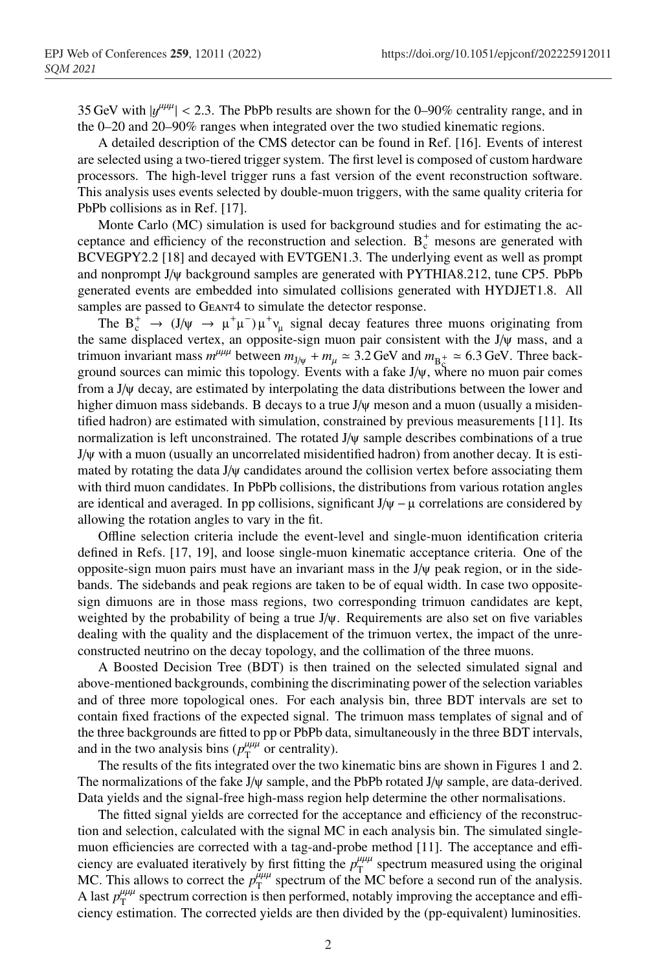35 GeV with  $|y^{\mu\mu\mu}| < 2.3$ . The PbPb results are shown for the 0–90% centrality range, and in the 0–20 and 20–90% ranges when integrated over the two studied kinematic regions.

A detailed description of the CMS detector can be found in Ref. [16]. Events of interest are selected using a two-tiered trigger system. The first level is composed of custom hardware processors. The high-level trigger runs a fast version of the event reconstruction software. This analysis uses events selected by double-muon triggers, with the same quality criteria for PbPb collisions as in Ref. [17].

Monte Carlo (MC) simulation is used for background studies and for estimating the acceptance and efficiency of the reconstruction and selection.  $B_c^+$  mesons are generated with BCVEGPY2.2 [18] and decayed with EVTGEN1.3. The underlying event as well as prompt and nonprompt J/ψ background samples are generated with PYTHIA8.212, tune CP5. PbPb generated events are embedded into simulated collisions generated with HYDJET1.8. All samples are passed to GEANT4 to simulate the detector response.

The  $B_c^+ \to (J/\psi \to \mu^+\mu^-)\mu^+\nu_\mu$  signal decay features three muons originating from the same displaced vertex, an opposite-sign muon pair consistent with the J/ψ mass, and a trimuon invariant mass  $m^{\mu\mu\mu}$  between  $m_{J/\psi} + m_{\mu} \approx 3.2$  GeV and  $m_{B_5^+} \approx 6.3$  GeV. Three background sources can mimic this topology. Events with a fake  $J/\psi$ , where no muon pair comes from a J/ψ decay, are estimated by interpolating the data distributions between the lower and higher dimuon mass sidebands. B decays to a true J/ψ meson and a muon (usually a misidentified hadron) are estimated with simulation, constrained by previous measurements [11]. Its normalization is left unconstrained. The rotated  $J/\psi$  sample describes combinations of a true J/ψ with a muon (usually an uncorrelated misidentified hadron) from another decay. It is estimated by rotating the data J/ψ candidates around the collision vertex before associating them with third muon candidates. In PbPb collisions, the distributions from various rotation angles are identical and averaged. In pp collisions, significant  $J/\psi - \mu$  correlations are considered by allowing the rotation angles to vary in the fit.

Offline selection criteria include the event-level and single-muon identification criteria defined in Refs. [17, 19], and loose single-muon kinematic acceptance criteria. One of the opposite-sign muon pairs must have an invariant mass in the J/ψ peak region, or in the sidebands. The sidebands and peak regions are taken to be of equal width. In case two oppositesign dimuons are in those mass regions, two corresponding trimuon candidates are kept, weighted by the probability of being a true  $J/\psi$ . Requirements are also set on five variables dealing with the quality and the displacement of the trimuon vertex, the impact of the unreconstructed neutrino on the decay topology, and the collimation of the three muons.

A Boosted Decision Tree (BDT) is then trained on the selected simulated signal and above-mentioned backgrounds, combining the discriminating power of the selection variables and of three more topological ones. For each analysis bin, three BDT intervals are set to contain fixed fractions of the expected signal. The trimuon mass templates of signal and of the three backgrounds are fitted to pp or PbPb data, simultaneously in the three BDT intervals, and in the two analysis bins ( $p_T^{\mu\mu\mu}$  or centrality).

The results of the fits integrated over the two kinematic bins are shown in Figures 1 and 2. The normalizations of the fake J/ψ sample, and the PbPb rotated J/ψ sample, are data-derived. Data yields and the signal-free high-mass region help determine the other normalisations.

The fitted signal yields are corrected for the acceptance and efficiency of the reconstruction and selection, calculated with the signal MC in each analysis bin. The simulated singlemuon efficiencies are corrected with a tag-and-probe method [11]. The acceptance and efficiency are evaluated iteratively by first fitting the  $p_T^{\mu\mu\mu}$  spectrum measured using the original MC. This allows to correct the  $p_{\rm T}^{\mu\mu\mu}$  spectrum of the MC before a second run of the analysis. A last  $p_T^{\mu\mu\mu}$  spectrum correction is then performed, notably improving the acceptance and efficiency estimation. The corrected yields are then divided by the (pp-equivalent) luminosities.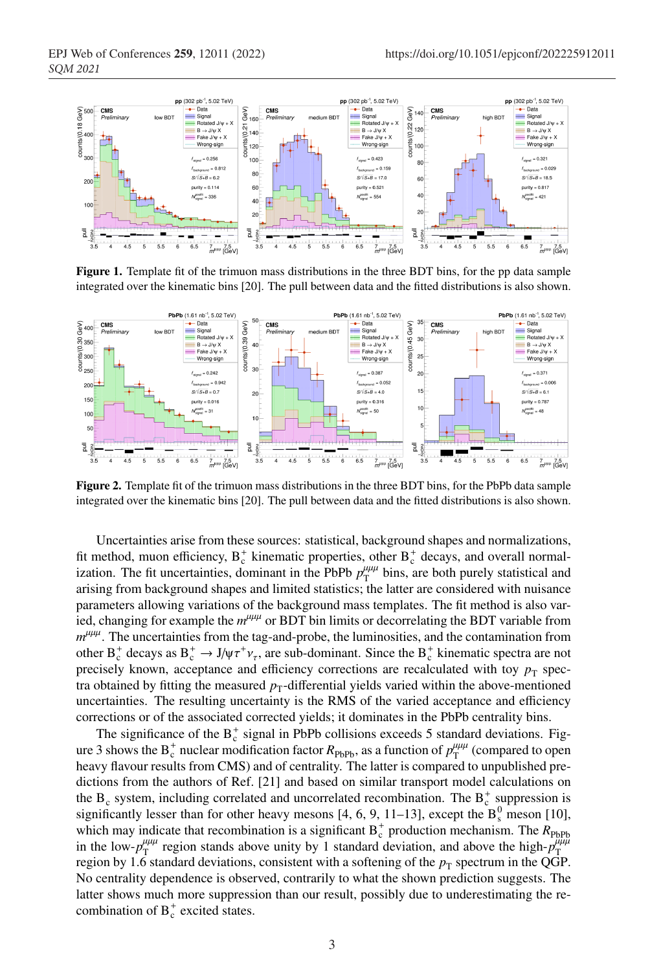

Figure 1. Template fit of the trimuon mass distributions in the three BDT bins, for the pp data sample integrated over the kinematic bins [20]. The pull between data and the fitted distributions is also shown.



Figure 2. Template fit of the trimuon mass distributions in the three BDT bins, for the PbPb data sample integrated over the kinematic bins [20]. The pull between data and the fitted distributions is also shown.

Uncertainties arise from these sources: statistical, background shapes and normalizations, fit method, muon efficiency,  $B_c^+$  kinematic properties, other  $B_c^+$  decays, and overall normalization. The fit uncertainties, dominant in the PbPb  $p_T^{\mu\mu\mu}$  bins, are both purely statistical and arising from background shapes and limited statistics; the latter are considered with nuisance parameters allowing variations of the background mass templates. The fit method is also varied, changing for example the  $m^{\mu\mu\mu}$  or BDT bin limits or decorrelating the BDT variable from  $m^{\mu\mu\mu}$ . The uncertainties from the tag-and-probe, the luminosities, and the contamination from other  $B_c^+$  decays as  $B_c^+ \to J/\psi \tau^+ \nu_\tau$ , are sub-dominant. Since the  $B_c^+$  kinematic spectra are not precisely known, acceptance and efficiency corrections are recalculated with toy  $p_T$  spectra obtained by fitting the measured  $p<sub>T</sub>$ -differential yields varied within the above-mentioned uncertainties. The resulting uncertainty is the RMS of the varied acceptance and efficiency corrections or of the associated corrected yields; it dominates in the PbPb centrality bins.

The significance of the  $B_c^+$  signal in PbPb collisions exceeds 5 standard deviations. Figure 3 shows the  $B_c^+$  nuclear modification factor  $R_{\text{PbPb}}$ , as a function of  $p_T^{\mu\mu\mu}$  (compared to open heavy flavour results from CMS) and of centrality. The latter is compared to unpublished predictions from the authors of Ref. [21] and based on similar transport model calculations on the  $B_c$  system, including correlated and uncorrelated recombination. The  $B_c^+$  suppression is significantly lesser than for other heavy mesons [4, 6, 9, 11–13], except the  $B_8^0$  meson [10], which may indicate that recombination is a significant  $B_c^+$  production mechanism. The  $R_{\text{PbPb}}$ in the low- $p_T^{\mu\mu\mu}$  region stands above unity by 1 standard deviation, and above the high- $p_T^{\mu\mu\mu}$ region by 1.6 standard deviations, consistent with a softening of the  $p<sub>T</sub>$  spectrum in the QGP. No centrality dependence is observed, contrarily to what the shown prediction suggests. The latter shows much more suppression than our result, possibly due to underestimating the recombination of  $B_c^+$  excited states.